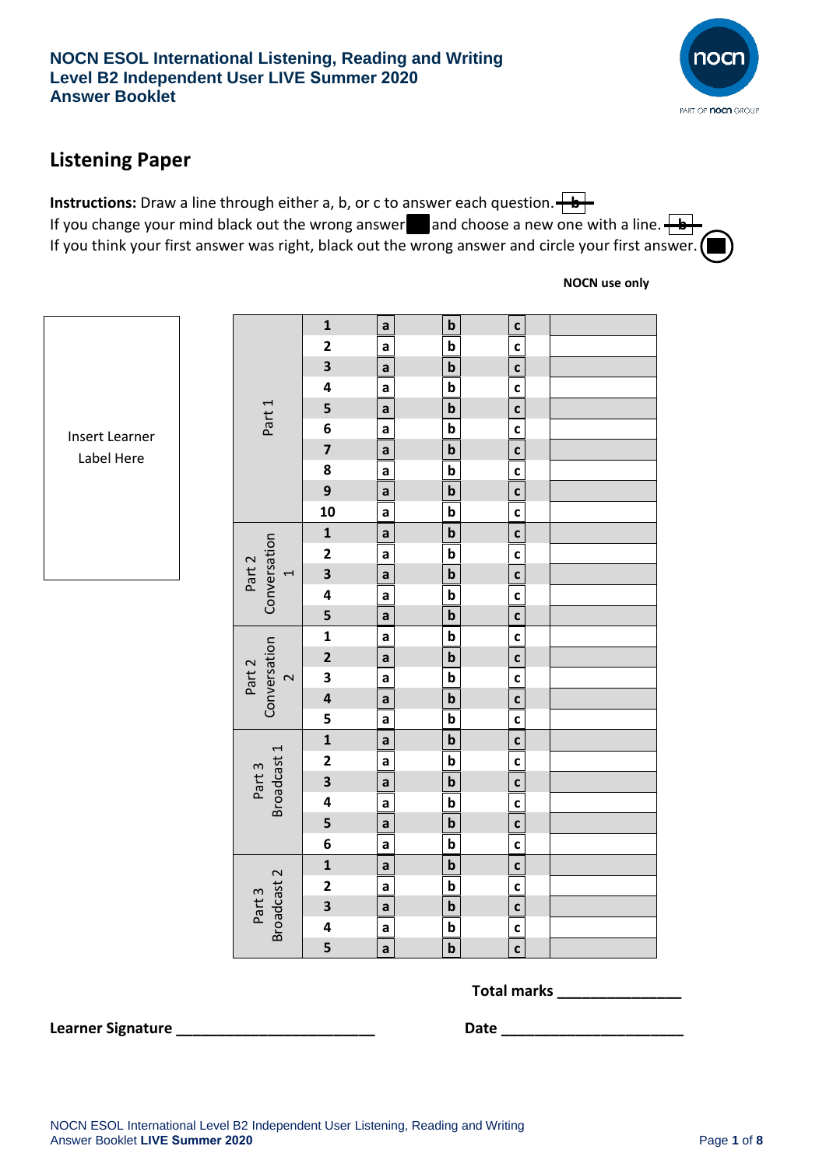

## **Listening Paper**

Insert Learner Label Here

**Instructions:** Draw a line through either a, b, or c to answer each question.  $\leftarrow$ If you change your mind black out the wrong answer and choose a new one with a line.  $\overline{\mathbf{b}}$ If you think your first answer was right, black out the wrong answer and circle your first answer. (

Learner Signature<br>
Learner Signature<br>
Learner Signature<br>
Learner Signature<br>
Learner Signature<br>
Learner Signature<br>
Learner Signature<br>
Learner Signature<br>
Learner Signature<br>
Learner Signature<br>
Learner Signature<br>
Learner Sign 1 |a| |b| |c 2 |a| |b| |c **3 a b c 4 -a- -b- -c-5 a b c 6** |a| |b| |c **7 a b c** 8 |a| |b| |c **9 -a- -b- -c-**10 |a| |b| |c Part 2<br>Conversation  $\overline{ }$ 1 |a| |b| |c 2 |a| |b| |c **3 a b c 4 -a- -b- -c-5 a b c** Part 2<br>Conversation  $\sim$ 1 |a| |b| |c **2 a b c 3**  $|a|$   $|b|$   $|c|$ **4 -a- -b- -c-5 a b c** Part 3<br>Broadcast 1 1 |a| |b| |c 2 |a| |b| |c **3 a b c 4 -a- -b- -c-5 a b c 6** |**a**| |**b**| |**c** Part 3<br>Broadcast 2 1 |a| |b| |c 2 |a| |b| |c **3 a b c 4 -a- -b- -c-5 a b c** 

 **NOCN use only**

**Total marks \_\_\_\_\_\_\_\_\_\_\_\_\_\_\_**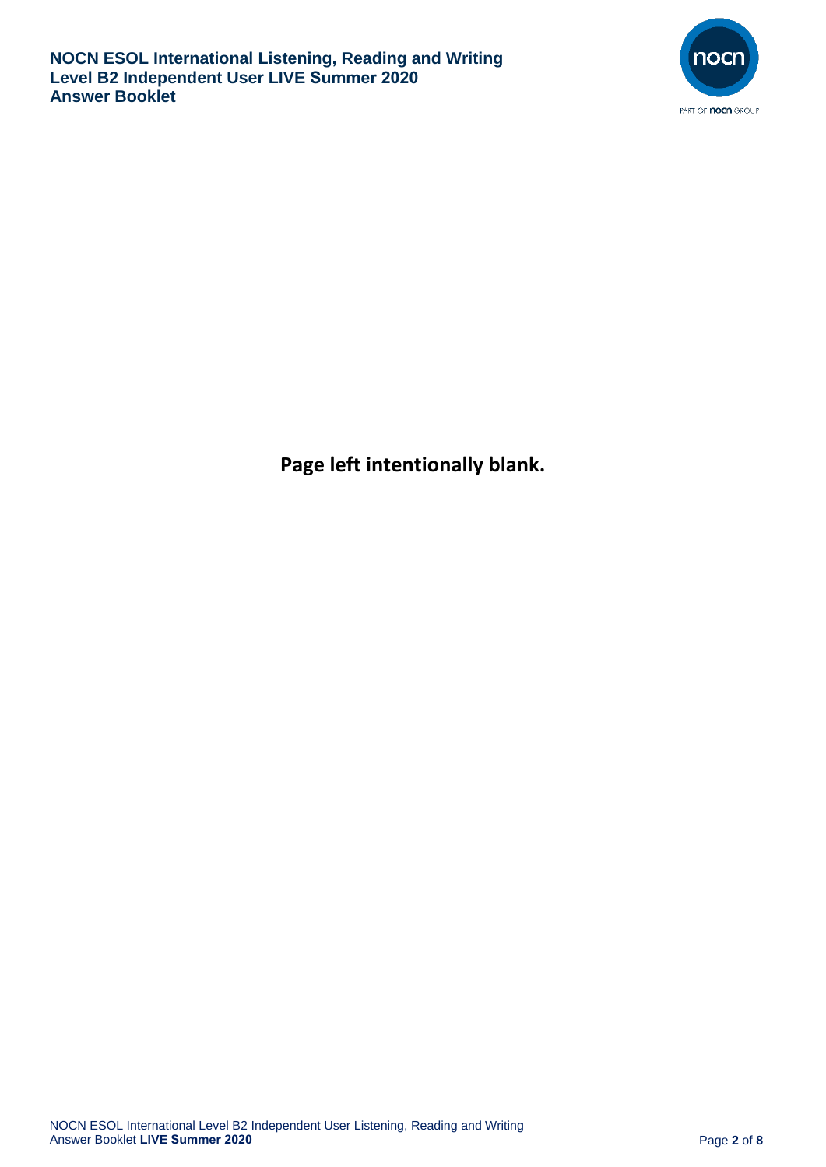

**Page left intentionally blank.**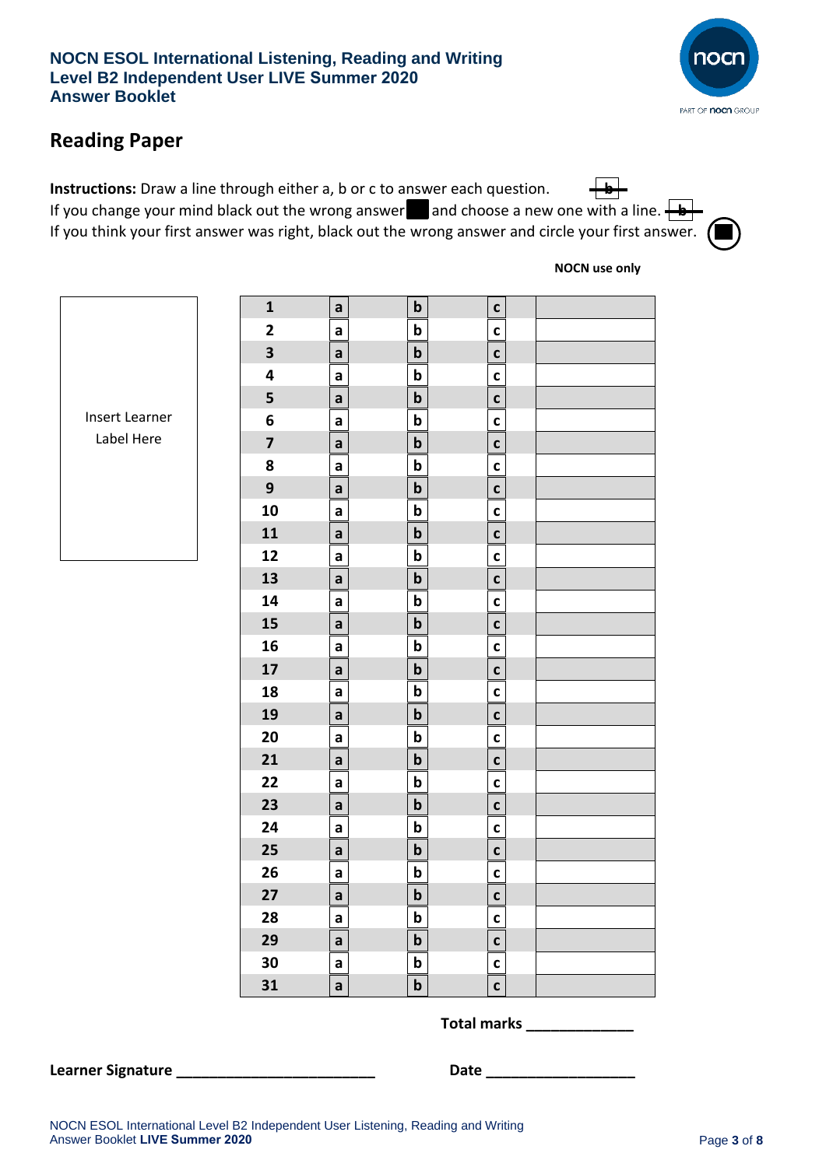

## **Reading Paper**

**Instructions:** Draw a line through either a, b or c to answer each question. –**b-**If you change your mind black out the wrong answer and choose a new one with a line.  $\overline{+b}$ If you think your first answer was right, black out the wrong answer and circle your first answer.

#### **NOCN use only**

| $\mathbf 1$             | a | $\mathbf b$ | $\mathbf{C}$ |  |
|-------------------------|---|-------------|--------------|--|
| $\overline{2}$          | a | þ           | C            |  |
| 3                       | a | $\mathbf b$ | $\mathbf c$  |  |
| 4                       | a | b           | $\mathbf{C}$ |  |
| 5                       | a | $\mathbf b$ | $\mathbf c$  |  |
| 6                       | a | b           | $\mathbf c$  |  |
| $\overline{\mathbf{z}}$ | a | b           | C            |  |
| 8                       | a | $\mathbf b$ | $\mathbf c$  |  |
| 9                       | a | b           | $\mathbf c$  |  |
| 10                      | a | b           | $\mathbf c$  |  |
| 11                      | a | $\mathbf b$ | C            |  |
| 12                      | a | $\mathbf b$ | $\mathbf{C}$ |  |
| 13                      | a | b           | $\mathbf c$  |  |
| 14                      | a | b           | C            |  |
| 15                      | a | $\mathbf b$ | $\mathbf c$  |  |
| 16                      | a | b           | $\mathbf{C}$ |  |
| 17                      | a | $\mathbf b$ | C            |  |
| 18                      | a | $\mathbf b$ | C            |  |
| 19                      | a | b           | $\mathbf c$  |  |
| 20                      | a | $\mathbf b$ | $\mathbf c$  |  |
| 21                      | a | $\mathbf b$ | $\mathbf c$  |  |
| 22                      | a | $\mathbf b$ | $\mathbf c$  |  |
| 23                      | a | $\mathbf b$ | C            |  |
| 24                      | a | $\mathbf b$ | $\mathbf c$  |  |
| 25                      | a | b           | C            |  |
| 26                      | a | $\mathbf b$ | C            |  |
| 27                      | a | $\mathbf b$ | $\mathbf c$  |  |
| 28                      | a | þ           | C            |  |
| 29                      | a | $\mathbf b$ | $\mathbf c$  |  |
| 30                      | a | b           | C            |  |
| 31                      | a | $\mathbf b$ | $\mathbf c$  |  |

**Total marks \_\_\_\_\_\_\_\_\_\_\_\_\_**

**Learner Signature Learner Signature** *Learner Signature* 

|                | ┻                       | a |
|----------------|-------------------------|---|
|                | $\overline{2}$          | a |
|                | $\overline{\mathbf{3}}$ | a |
|                | 4                       | a |
|                | 5                       | a |
| Insert Learner | 6                       | a |
| Label Here     | $\overline{\mathbf{z}}$ | a |
|                | 8                       | a |
|                | 9                       | a |
|                | 10                      | a |
|                | 11                      | a |
|                | 12                      | a |
|                | 13                      | a |
|                | 14                      | a |
|                | 15                      | a |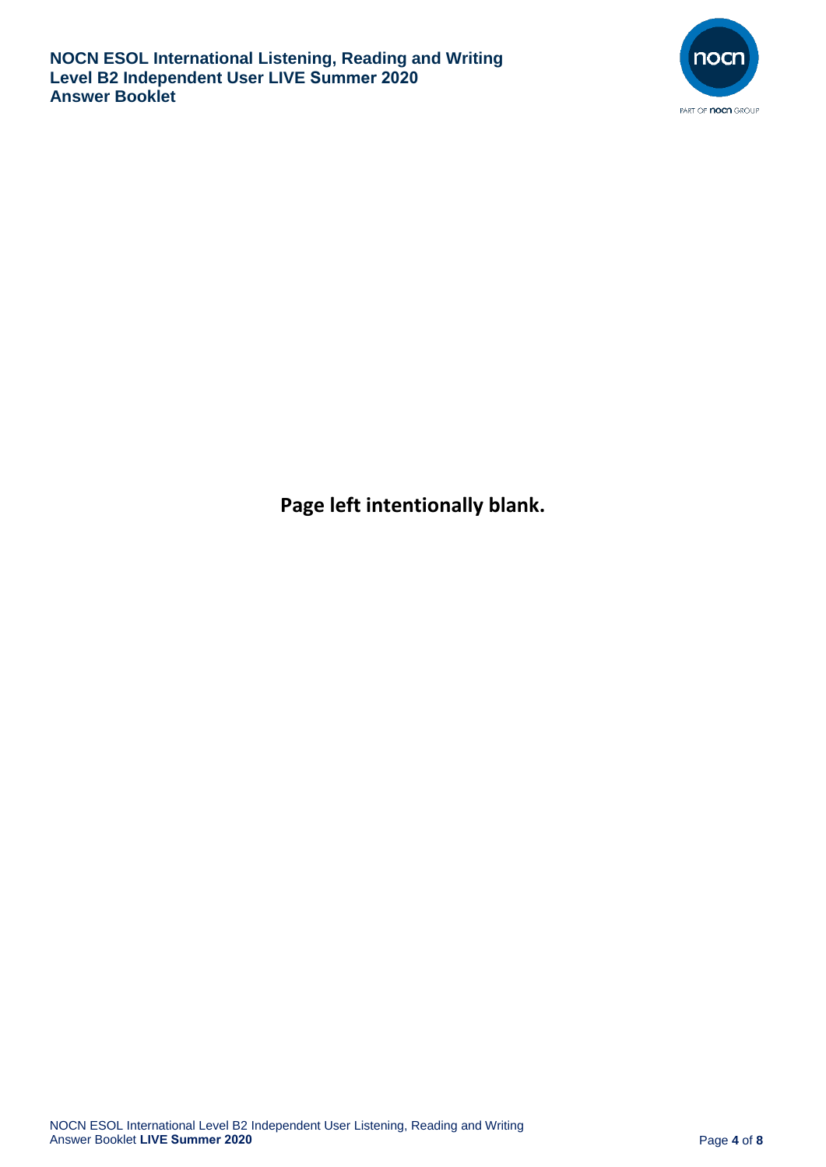

**Page left intentionally blank.**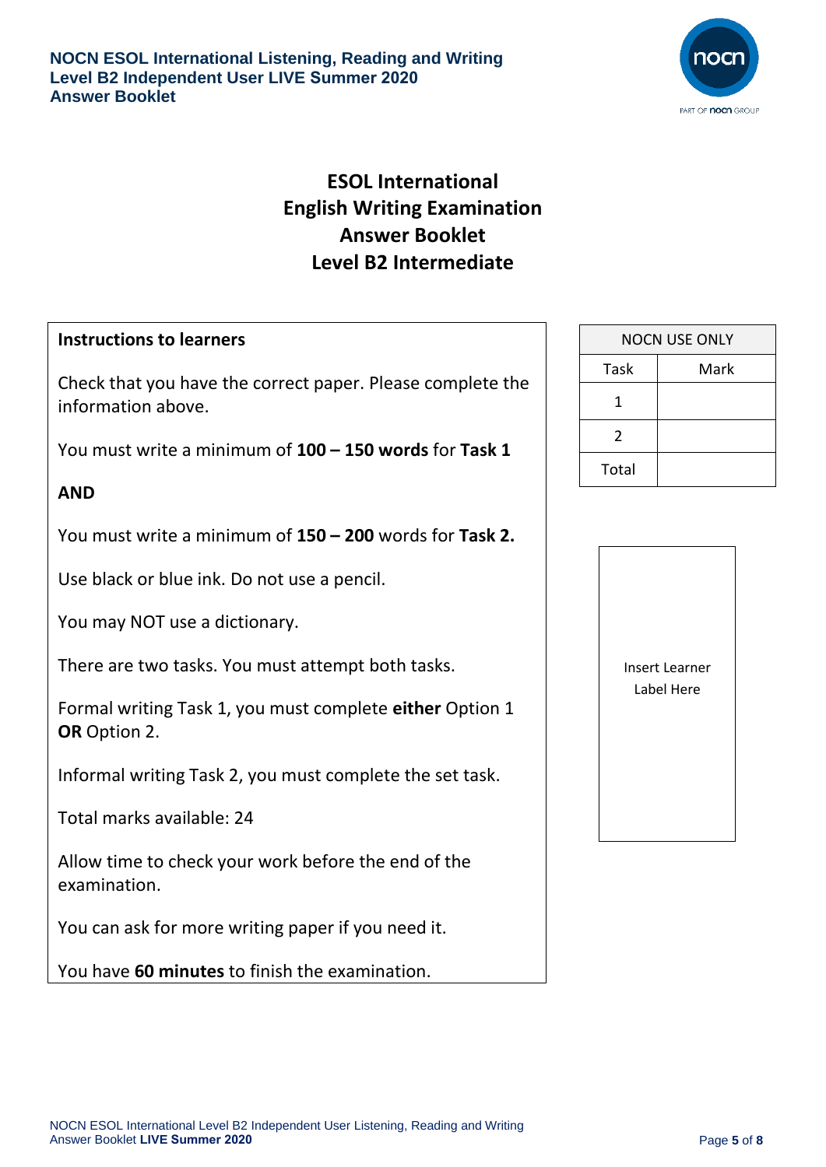**NOCN ESOL International Listening, Reading and Writing Level B2 Independent User LIVE Winter 2021 Answer Booklet** 



# **ESOL International English Writing Examination Answer Booklet Level B2 Intermediate**

### **Instructions to learners**

Check that you have the correct paper. Please complete the information above.

You must write a minimum of **100 – 150 words** for **Task 1**

### **AND**

You must write a minimum of **150 – 200** words for **Task 2.**

Use black or blue ink. Do not use a pencil.

You may NOT use a dictionary.

There are two tasks. You must attempt both tasks.

Formal writing Task 1, you must complete **either** Option 1 **OR** Option 2.

Informal writing Task 2, you must complete the set task.

Total marks available: 24

Allow time to check your work before the end of the examination.

You can ask for more writing paper if you need it.

You have **60 minutes** to finish the examination.

| <b>NOCN USE ONLY</b> |      |  |
|----------------------|------|--|
| Task                 | Mark |  |
| 1                    |      |  |
| 2                    |      |  |
| Total                |      |  |

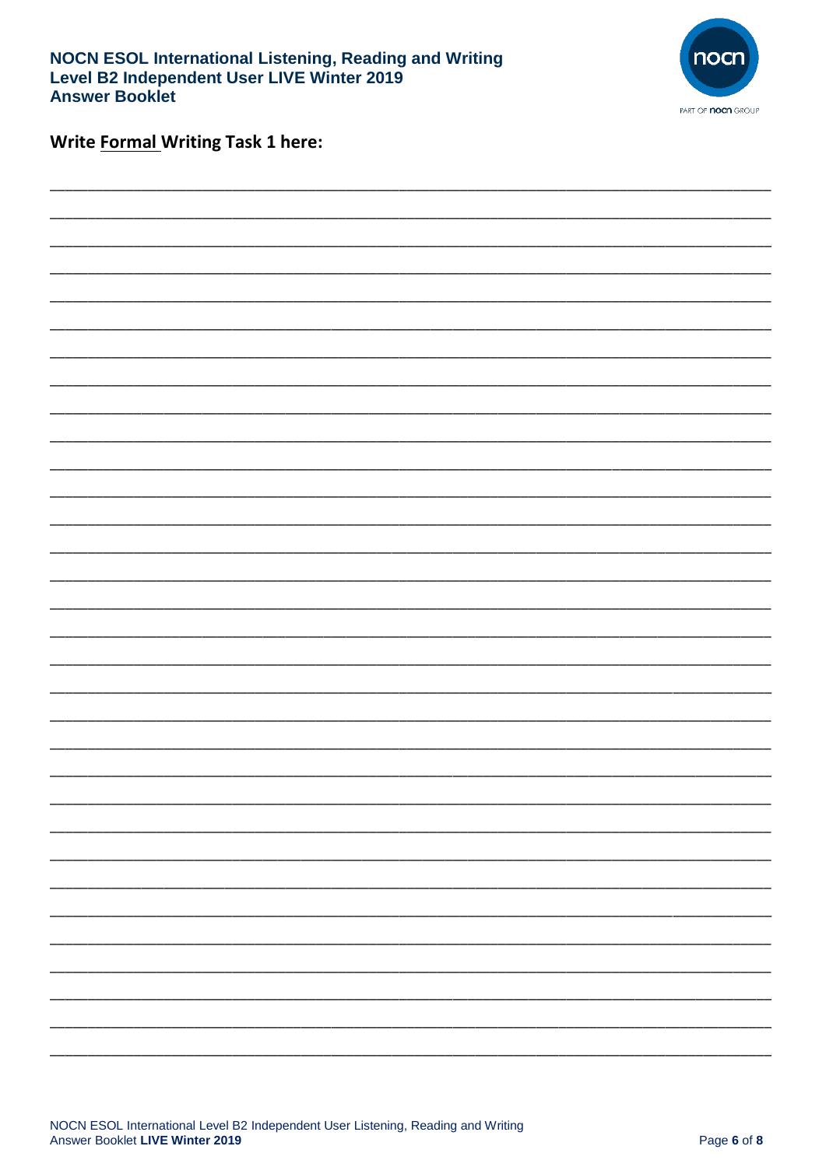

### **Write Formal Writing Task 1 here:**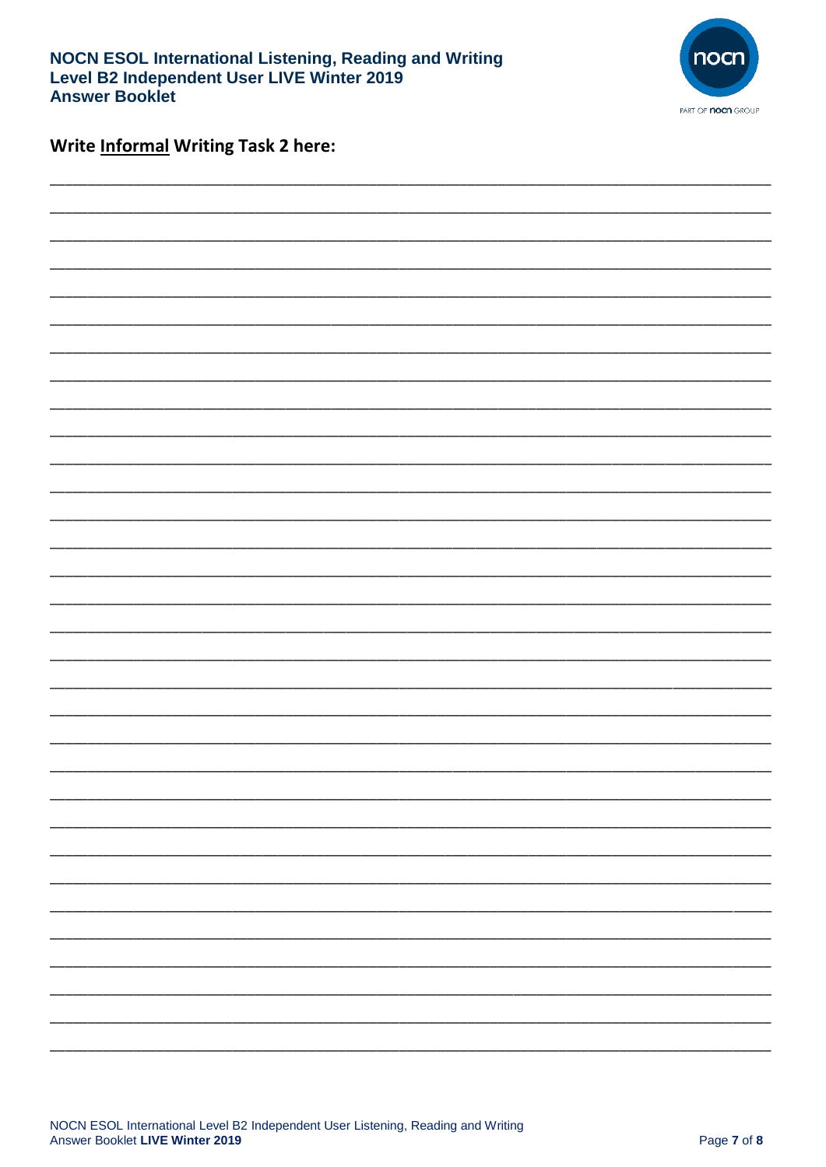

**Write Informal Writing Task 2 here:**